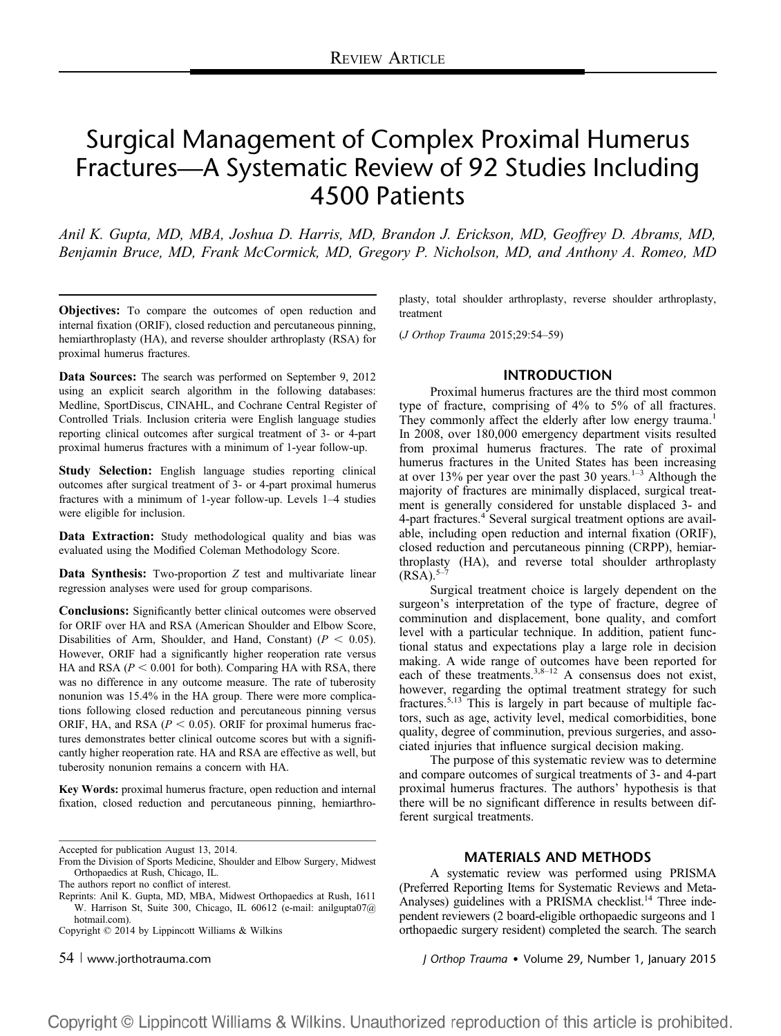# Surgical Management of Complex Proximal Humerus Fractures—A Systematic Review of 92 Studies Including 4500 Patients

Anil K. Gupta, MD, MBA, Joshua D. Harris, MD, Brandon J. Erickson, MD, Geoffrey D. Abrams, MD, Benjamin Bruce, MD, Frank McCormick, MD, Gregory P. Nicholson, MD, and Anthony A. Romeo, MD

Objectives: To compare the outcomes of open reduction and internal fixation (ORIF), closed reduction and percutaneous pinning, hemiarthroplasty (HA), and reverse shoulder arthroplasty (RSA) for proximal humerus fractures.

Data Sources: The search was performed on September 9, 2012 using an explicit search algorithm in the following databases: Medline, SportDiscus, CINAHL, and Cochrane Central Register of Controlled Trials. Inclusion criteria were English language studies reporting clinical outcomes after surgical treatment of 3- or 4-part proximal humerus fractures with a minimum of 1-year follow-up.

Study Selection: English language studies reporting clinical outcomes after surgical treatment of 3- or 4-part proximal humerus fractures with a minimum of 1-year follow-up. Levels 1–4 studies were eligible for inclusion.

Data Extraction: Study methodological quality and bias was evaluated using the Modified Coleman Methodology Score.

Data Synthesis: Two-proportion Z test and multivariate linear regression analyses were used for group comparisons.

Conclusions: Significantly better clinical outcomes were observed for ORIF over HA and RSA (American Shoulder and Elbow Score, Disabilities of Arm, Shoulder, and Hand, Constant) ( $P < 0.05$ ). However, ORIF had a significantly higher reoperation rate versus HA and RSA ( $P < 0.001$  for both). Comparing HA with RSA, there was no difference in any outcome measure. The rate of tuberosity nonunion was 15.4% in the HA group. There were more complications following closed reduction and percutaneous pinning versus ORIF, HA, and RSA ( $P < 0.05$ ). ORIF for proximal humerus fractures demonstrates better clinical outcome scores but with a significantly higher reoperation rate. HA and RSA are effective as well, but tuberosity nonunion remains a concern with HA.

Key Words: proximal humerus fracture, open reduction and internal fixation, closed reduction and percutaneous pinning, hemiarthro-

From the Division of Sports Medicine, Shoulder and Elbow Surgery, Midwest Orthopaedics at Rush, Chicago, IL.

The authors report no conflict of interest.

Reprints: Anil K. Gupta, MD, MBA, Midwest Orthopaedics at Rush, 1611 W. Harrison St, Suite 300, Chicago, IL 60612 (e-mail: anilgupta07@ hotmail.com).

Copyright © 2014 by Lippincott Williams & Wilkins

plasty, total shoulder arthroplasty, reverse shoulder arthroplasty, treatment

(J Orthop Trauma 2015;29:54–59)

### INTRODUCTION

Proximal humerus fractures are the third most common type of fracture, comprising of 4% to 5% of all fractures. They commonly affect the elderly after low energy trauma.<sup>1</sup> In 2008, over 180,000 emergency department visits resulted from proximal humerus fractures. The rate of proximal humerus fractures in the United States has been increasing at over 13% per year over the past 30 years.<sup>1–3</sup> Although the majority of fractures are minimally displaced, surgical treatment is generally considered for unstable displaced 3- and 4-part fractures.<sup>4</sup> Several surgical treatment options are available, including open reduction and internal fixation (ORIF), closed reduction and percutaneous pinning (CRPP), hemiarthroplasty (HA), and reverse total shoulder arthroplasty  $(RSA).$ <sup>5–7</sup>

Surgical treatment choice is largely dependent on the surgeon's interpretation of the type of fracture, degree of comminution and displacement, bone quality, and comfort level with a particular technique. In addition, patient functional status and expectations play a large role in decision making. A wide range of outcomes have been reported for each of these treatments.<sup>3,8-12</sup> A consensus does not exist, however, regarding the optimal treatment strategy for such fractures.5,13 This is largely in part because of multiple factors, such as age, activity level, medical comorbidities, bone quality, degree of comminution, previous surgeries, and associated injuries that influence surgical decision making.

The purpose of this systematic review was to determine and compare outcomes of surgical treatments of 3- and 4-part proximal humerus fractures. The authors' hypothesis is that there will be no significant difference in results between different surgical treatments.

## MATERIALS AND METHODS

A systematic review was performed using PRISMA (Preferred Reporting Items for Systematic Reviews and Meta-Analyses) guidelines with a PRISMA checklist.<sup>14</sup> Three independent reviewers (2 board-eligible orthopaedic surgeons and 1 orthopaedic surgery resident) completed the search. The search

<sup>54</sup> <sup>|</sup> www.jorthotrauma.com J Orthop Trauma Volume 29, Number 1, January 2015

Accepted for publication August 13, 2014.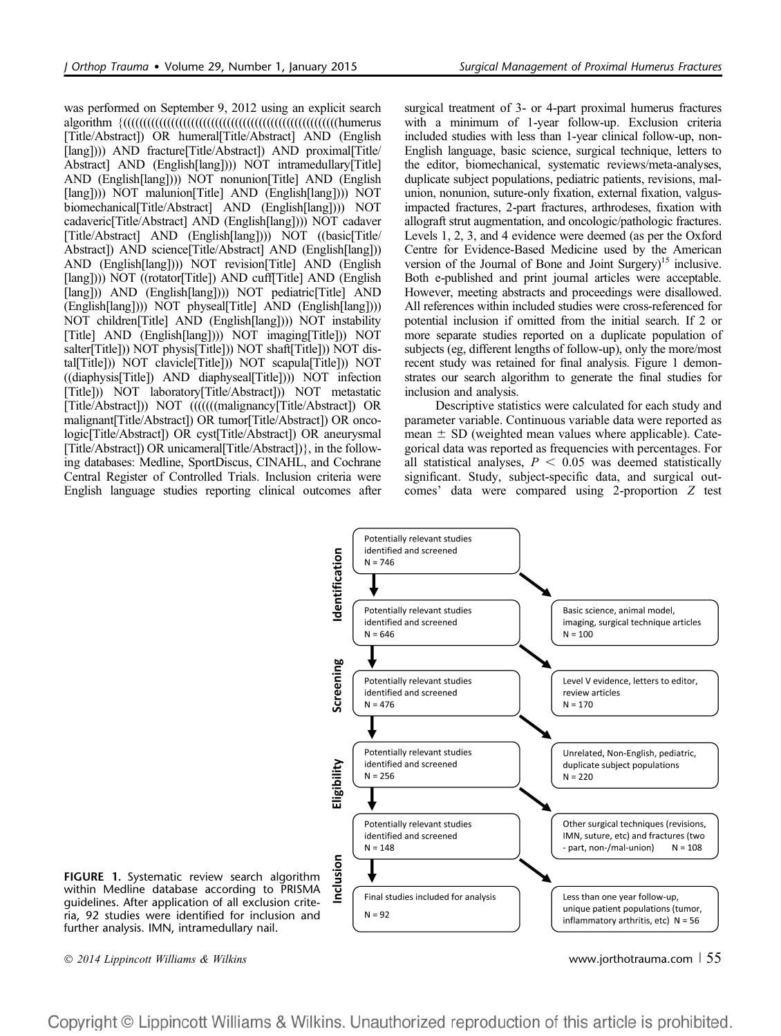was performed on September 9, 2012 using an explicit search algorithm {((((((((((((((((((((((((((((((((((((((((((((((((((((((humerus [Title/Abstract]) OR humeral[Title/Abstract] AND (English [lang]))) AND fracture[Title/Abstract]) AND proximal[Title/ Abstract] AND (English[lang]))) NOT intramedullary[Title] AND (English[lang]))) NOT nonunion[Title] AND (English [lang]))) NOT malunion[Title] AND (English[lang]))) NOT biomechanical[Title/Abstract] AND (English[lang]))) NOT cadaveric[Title/Abstract] AND (English[lang]))) NOT cadaver [Title/Abstract] AND (English[lang]))) NOT ((basic[Title/ Abstract]) AND science[Title/Abstract] AND (English[lang])) AND (English[lang]))) NOT revision[Title] AND (English [lang]))) NOT ((rotator[Title]) AND cuff[Title] AND (English [lang])) AND (English[lang]))) NOT pediatric[Title] AND (English[lang]))) NOT physeal[Title] AND (English[lang]))) NOT children[Title] AND (English[lang]))) NOT instability [Title] AND (English[lang]))) NOT imaging[Title])) NOT salter[Title])) NOT physis[Title])) NOT shaft[Title])) NOT distal[Title])) NOT clavicle[Title])) NOT scapula[Title])) NOT ((diaphysis[Title]) AND diaphyseal[Title]))) NOT infection [Title])) NOT laboratory[Title/Abstract])) NOT metastatic [Title/Abstract])) NOT (((((((malignancy[Title/Abstract]) OR malignant[Title/Abstract]) OR tumor[Title/Abstract]) OR oncologic[Title/Abstract]) OR cyst[Title/Abstract]) OR aneurysmal [Title/Abstract]) OR unicameral[Title/Abstract])}, in the following databases: Medline, SportDiscus, CINAHL, and Cochrane Central Register of Controlled Trials. Inclusion criteria were English language studies reporting clinical outcomes after

surgical treatment of 3- or 4-part proximal humerus fractures with a minimum of 1-year follow-up. Exclusion criteria included studies with less than 1-year clinical follow-up, non-English language, basic science, surgical technique, letters to the editor, biomechanical, systematic reviews/meta-analyses, duplicate subject populations, pediatric patients, revisions, malunion, nonunion, suture-only fixation, external fixation, valgusimpacted fractures, 2-part fractures, arthrodeses, fixation with allograft strut augmentation, and oncologic/pathologic fractures. Levels 1, 2, 3, and 4 evidence were deemed (as per the Oxford Centre for Evidence-Based Medicine used by the American version of the Journal of Bone and Joint Surgery)<sup>15</sup> inclusive. Both e-published and print journal articles were acceptable. However, meeting abstracts and proceedings were disallowed. All references within included studies were cross-referenced for potential inclusion if omitted from the initial search. If 2 or more separate studies reported on a duplicate population of subjects (eg, different lengths of follow-up), only the more/most recent study was retained for final analysis. Figure 1 demonstrates our search algorithm to generate the final studies for inclusion and analysis.

Descriptive statistics were calculated for each study and parameter variable. Continuous variable data were reported as mean  $\pm$  SD (weighted mean values where applicable). Categorical data was reported as frequencies with percentages. For all statistical analyses,  $P < 0.05$  was deemed statistically significant. Study, subject-specific data, and surgical outcomes' data were compared using 2-proportion Z test



FIGURE 1. Systematic review search algorithm within Medline database according to PRISMA guidelines. After application of all exclusion criteria, 92 studies were identified for inclusion and further analysis. IMN, intramedullary nail.

2014 Lippincott Williams & Wilkins www.jorthotrauma.com <sup>|</sup> 55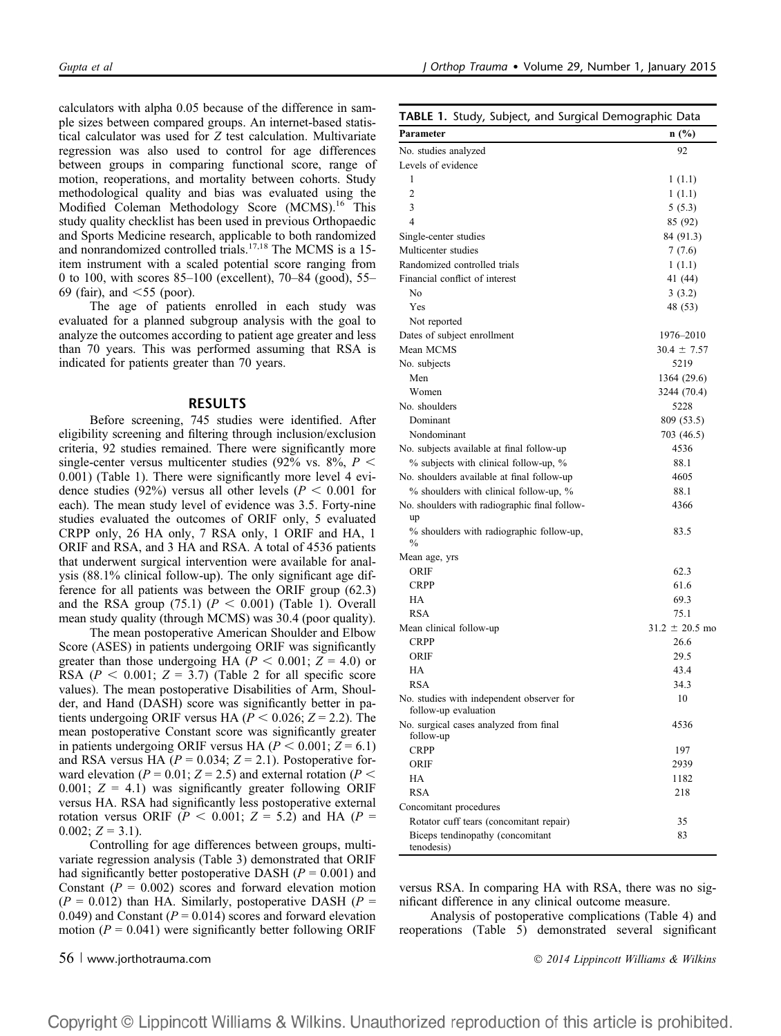calculators with alpha 0.05 because of the difference in sample sizes between compared groups. An internet-based statistical calculator was used for Z test calculation. Multivariate regression was also used to control for age differences between groups in comparing functional score, range of motion, reoperations, and mortality between cohorts. Study methodological quality and bias was evaluated using the Modified Coleman Methodology Score (MCMS).<sup>16</sup> This study quality checklist has been used in previous Orthopaedic and Sports Medicine research, applicable to both randomized and nonrandomized controlled trials.<sup>17,18</sup> The MCMS is a 15item instrument with a scaled potential score ranging from 0 to 100, with scores 85–100 (excellent), 70–84 (good), 55– 69 (fair), and  $\leq$ 55 (poor).

The age of patients enrolled in each study was evaluated for a planned subgroup analysis with the goal to analyze the outcomes according to patient age greater and less than 70 years. This was performed assuming that RSA is indicated for patients greater than 70 years.

#### RESULTS

Before screening, 745 studies were identified. After eligibility screening and filtering through inclusion/exclusion criteria, 92 studies remained. There were significantly more single-center versus multicenter studies (92% vs. 8%,  $P \leq$ 0.001) (Table 1). There were significantly more level 4 evidence studies (92%) versus all other levels ( $P < 0.001$  for each). The mean study level of evidence was 3.5. Forty-nine studies evaluated the outcomes of ORIF only, 5 evaluated CRPP only, 26 HA only, 7 RSA only, 1 ORIF and HA, 1 ORIF and RSA, and 3 HA and RSA. A total of 4536 patients that underwent surgical intervention were available for analysis (88.1% clinical follow-up). The only significant age difference for all patients was between the ORIF group (62.3) and the RSA group  $(75.1)$   $(P < 0.001)$  (Table 1). Overall mean study quality (through MCMS) was 30.4 (poor quality).

The mean postoperative American Shoulder and Elbow Score (ASES) in patients undergoing ORIF was significantly greater than those undergoing HA ( $P < 0.001$ ;  $Z = 4.0$ ) or RSA ( $P < 0.001$ ;  $Z = 3.7$ ) (Table 2 for all specific score values). The mean postoperative Disabilities of Arm, Shoulder, and Hand (DASH) score was significantly better in patients undergoing ORIF versus HA ( $P < 0.026$ ;  $Z = 2.2$ ). The mean postoperative Constant score was significantly greater in patients undergoing ORIF versus HA ( $P < 0.001$ ; Z = 6.1) and RSA versus HA ( $P = 0.034$ ;  $Z = 2.1$ ). Postoperative forward elevation ( $P = 0.01$ ;  $Z = 2.5$ ) and external rotation ( $P <$ 0.001;  $Z = 4.1$ ) was significantly greater following ORIF versus HA. RSA had significantly less postoperative external rotation versus ORIF ( $P < 0.001$ ;  $Z = 5.2$ ) and HA ( $P =$  $0.002; Z = 3.1$ ).

Controlling for age differences between groups, multivariate regression analysis (Table 3) demonstrated that ORIF had significantly better postoperative DASH ( $P = 0.001$ ) and Constant  $(P = 0.002)$  scores and forward elevation motion  $(P = 0.012)$  than HA. Similarly, postoperative DASH  $(P = 0.012)$ 0.049) and Constant ( $P = 0.014$ ) scores and forward elevation motion ( $P = 0.041$ ) were significantly better following ORIF

Gupta et al John Christian Muslim and Christian Muslim Christian Muslim Christian Muslim Christian Muslim Christian Muslim Christian Muslim Christian Muslim Christian Muslim Christian Muslim Christian Muslim Christian Musl

| TABLE 1. Study, Subject, and Surgical Demographic Data            |                    |
|-------------------------------------------------------------------|--------------------|
| Parameter                                                         | n(%)               |
| No. studies analyzed                                              | 92                 |
| Levels of evidence                                                |                    |
| 1                                                                 | 1(1.1)             |
| $\overline{2}$                                                    | 1(1.1)             |
| 3                                                                 | 5(5.3)             |
| $\overline{4}$                                                    | 85 (92)            |
| Single-center studies                                             | 84 (91.3)          |
| Multicenter studies                                               | 7(7.6)             |
| Randomized controlled trials                                      | 1(1.1)             |
| Financial conflict of interest                                    | 41 (44)            |
| N <sub>0</sub>                                                    | 3(3.2)             |
| Yes                                                               | 48 (53)            |
| Not reported                                                      |                    |
| Dates of subject enrollment                                       | 1976–2010          |
| Mean MCMS                                                         | $30.4 \pm 7.57$    |
| No. subjects                                                      | 5219               |
| Men                                                               | 1364 (29.6)        |
| Women                                                             | 3244 (70.4)        |
| No. shoulders                                                     | 5228               |
| Dominant                                                          | 809 (53.5)         |
| Nondominant                                                       | 703 (46.5)         |
| No. subjects available at final follow-up                         | 4536               |
| % subjects with clinical follow-up, %                             | 88.1               |
| No. shoulders available at final follow-up                        | 4605               |
| % shoulders with clinical follow-up, %                            | 88.1               |
| No. shoulders with radiographic final follow-<br>up               | 4366               |
| % shoulders with radiographic follow-up,<br>$\%$                  | 83.5               |
| Mean age, yrs                                                     |                    |
| ORIF                                                              | 62.3               |
| CRPP                                                              | 61.6               |
| НA                                                                | 69.3               |
| RSA                                                               | 75.1               |
| Mean clinical follow-up                                           | $31.2 \pm 20.5$ mo |
| <b>CRPP</b>                                                       | 26.6               |
| ORIF                                                              | 29.5               |
| НA                                                                | 43.4               |
| <b>RSA</b>                                                        | 34.3               |
| No. studies with independent observer for<br>follow-up evaluation | 10                 |
| No. surgical cases analyzed from final<br>follow-up               | 4536               |
| <b>CRPP</b>                                                       | 197                |
| ORIF                                                              | 2939               |
| HA                                                                | 1182               |
| <b>RSA</b>                                                        | 218                |
| Concomitant procedures                                            |                    |
| Rotator cuff tears (concomitant repair)                           | 35                 |
| Biceps tendinopathy (concomitant<br>tenodesis)                    | 83                 |

versus RSA. In comparing HA with RSA, there was no significant difference in any clinical outcome measure.

Analysis of postoperative complications (Table 4) and reoperations (Table 5) demonstrated several significant

56 <sup>|</sup> www.jorthotrauma.com 2014 Lippincott Williams & Wilkins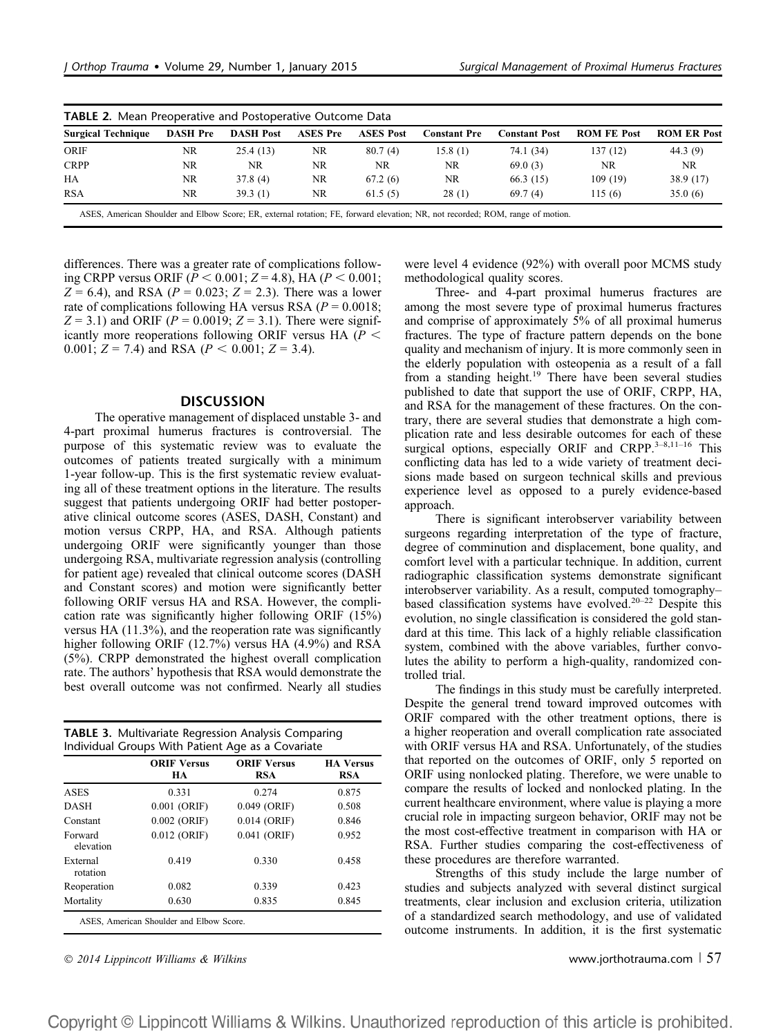| <b>Surgical Technique</b> | <b>DASH</b> Pre | <b>DASH Post</b> | <b>ASES</b> Pre | <b>ASES</b> Post | <b>Constant Pre</b> | <b>Constant Post</b> | <b>ROM FE Post</b> | <b>ROM ER Post</b> |
|---------------------------|-----------------|------------------|-----------------|------------------|---------------------|----------------------|--------------------|--------------------|
| ORIF                      | NR              | 25.4(13)         | NR              | 80.7(4)          | 15.8(1)             | 74.1 (34)            | 137(12)            | 44.3 (9)           |
| <b>CRPP</b>               | NR              | NR.              | NR              | NR               | NR.                 | 69.0(3)              | NR.                | NR.                |
| HA                        | NR              | 37.8(4)          | NR              | 67.2(6)          | NR                  | 66.3(15)             | 109(19)            | 38.9 (17)          |
| <b>RSA</b>                | NR              | 39.3(1)          | NR              | 61.5(5)          | 28(1)               | 69.7(4)              | 115(6)             | 35.0(6)            |

differences. There was a greater rate of complications following CRPP versus ORIF ( $P < 0.001$ ; Z = 4.8), HA ( $P < 0.001$ ;  $Z = 6.4$ ), and RSA ( $P = 0.023$ ;  $Z = 2.3$ ). There was a lower rate of complications following HA versus RSA ( $P = 0.0018$ ;  $Z = 3.1$ ) and ORIF ( $P = 0.0019$ ;  $Z = 3.1$ ). There were significantly more reoperations following ORIF versus HA ( $P <$ 0.001;  $Z = 7.4$ ) and RSA ( $P < 0.001$ ;  $Z = 3.4$ ).

#### **DISCUSSION**

The operative management of displaced unstable 3- and 4-part proximal humerus fractures is controversial. The purpose of this systematic review was to evaluate the outcomes of patients treated surgically with a minimum 1-year follow-up. This is the first systematic review evaluating all of these treatment options in the literature. The results suggest that patients undergoing ORIF had better postoperative clinical outcome scores (ASES, DASH, Constant) and motion versus CRPP, HA, and RSA. Although patients undergoing ORIF were significantly younger than those undergoing RSA, multivariate regression analysis (controlling for patient age) revealed that clinical outcome scores (DASH and Constant scores) and motion were significantly better following ORIF versus HA and RSA. However, the complication rate was significantly higher following ORIF (15%) versus HA (11.3%), and the reoperation rate was significantly higher following ORIF (12.7%) versus HA (4.9%) and RSA (5%). CRPP demonstrated the highest overall complication rate. The authors' hypothesis that RSA would demonstrate the best overall outcome was not confirmed. Nearly all studies

| TABLE 3. Multivariate Regression Analysis Comparing |
|-----------------------------------------------------|
| Individual Groups With Patient Age as a Covariate   |

|                      | <b>ORIF Versus</b><br>HA | <b>ORIF Versus</b><br><b>RSA</b> | <b>HA Versus</b><br><b>RSA</b> |
|----------------------|--------------------------|----------------------------------|--------------------------------|
| <b>ASES</b>          | 0.331                    | 0.274                            | 0.875                          |
| <b>DASH</b>          | 0.001 (ORIF)             | 0.049 (ORIF)                     | 0.508                          |
| Constant             | 0.002 (ORIF)             | $0.014$ (ORIF)                   | 0.846                          |
| Forward<br>elevation | 0.012 (ORIF)             | 0.041 (ORIF)                     | 0.952                          |
| External<br>rotation | 0.419                    | 0.330                            | 0.458                          |
| Reoperation          | 0.082                    | 0.339                            | 0.423                          |
| Mortality            | 0.630                    | 0.835                            | 0.845                          |

ASES, American Shoulder and Elbow Score.

 $\degree$  2014 Lippincott Williams & Wilkins www.jorthotrauma.com | 57

were level 4 evidence (92%) with overall poor MCMS study methodological quality scores.

Three- and 4-part proximal humerus fractures are among the most severe type of proximal humerus fractures and comprise of approximately 5% of all proximal humerus fractures. The type of fracture pattern depends on the bone quality and mechanism of injury. It is more commonly seen in the elderly population with osteopenia as a result of a fall from a standing height.<sup>19</sup> There have been several studies published to date that support the use of ORIF, CRPP, HA, and RSA for the management of these fractures. On the contrary, there are several studies that demonstrate a high complication rate and less desirable outcomes for each of these surgical options, especially ORIF and CRPP.<sup>3-8,11-16</sup> This conflicting data has led to a wide variety of treatment decisions made based on surgeon technical skills and previous experience level as opposed to a purely evidence-based approach.

There is significant interobserver variability between surgeons regarding interpretation of the type of fracture, degree of comminution and displacement, bone quality, and comfort level with a particular technique. In addition, current radiographic classification systems demonstrate significant interobserver variability. As a result, computed tomography– based classification systems have evolved.<sup>20</sup>–<sup>22</sup> Despite this evolution, no single classification is considered the gold standard at this time. This lack of a highly reliable classification system, combined with the above variables, further convolutes the ability to perform a high-quality, randomized controlled trial.

The findings in this study must be carefully interpreted. Despite the general trend toward improved outcomes with ORIF compared with the other treatment options, there is a higher reoperation and overall complication rate associated with ORIF versus HA and RSA. Unfortunately, of the studies that reported on the outcomes of ORIF, only 5 reported on ORIF using nonlocked plating. Therefore, we were unable to compare the results of locked and nonlocked plating. In the current healthcare environment, where value is playing a more crucial role in impacting surgeon behavior, ORIF may not be the most cost-effective treatment in comparison with HA or RSA. Further studies comparing the cost-effectiveness of these procedures are therefore warranted.

Strengths of this study include the large number of studies and subjects analyzed with several distinct surgical treatments, clear inclusion and exclusion criteria, utilization of a standardized search methodology, and use of validated outcome instruments. In addition, it is the first systematic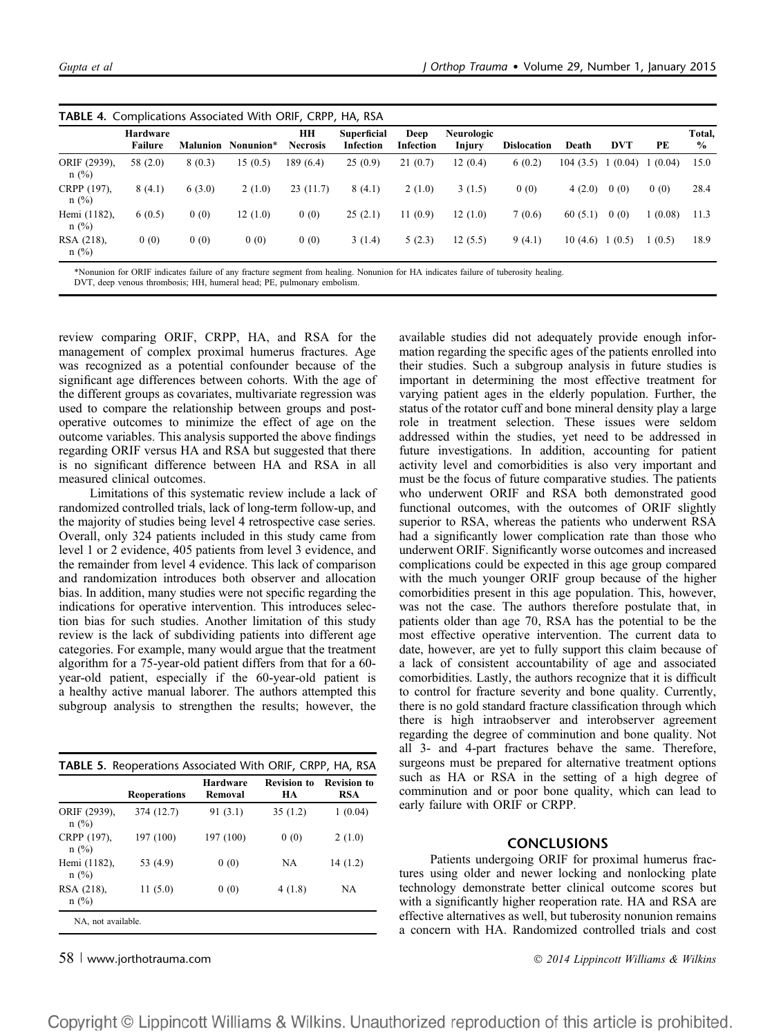|                            | Hardware       |                 |           | HН              | <b>Superficial</b> | Deep      | <b>Neurologic</b> |                    |          |            |        | Total,        |
|----------------------------|----------------|-----------------|-----------|-----------------|--------------------|-----------|-------------------|--------------------|----------|------------|--------|---------------|
|                            | <b>Failure</b> | <b>Malunion</b> | Nonunion* | <b>Necrosis</b> | <b>Infection</b>   | Infection | Injury            | <b>Dislocation</b> | Death    | <b>DVT</b> | PE     | $\frac{0}{0}$ |
| ORIF (2939),<br>$n \ (\%)$ | 58 (2.0)       | 8(0.3)          | 15(0.5)   | 189(6.4)        | 25(0.9)            | 21(0.7)   | 12(0.4)           | 6(0.2)             | 104(3.5) | (0.04)     | (0.04) | 15.0          |
| CRPP (197),<br>$n$ (%)     | 8(4.1)         | 6(3.0)          | 2(1.0)    | 23(11.7)        | 8(4.1)             | 2(1.0)    | 3(1.5)            | 0(0)               | 4(2.0)   | 0(0)       | 0(0)   | 28.4          |
| Hemi (1182),<br>$n \ (\%)$ | 6(0.5)         | 0(0)            | 12(1.0)   | 0(0)            | 25(2.1)            | 11(0.9)   | 12(1.0)           | 7(0.6)             | 60 (5.1) | 0(0)       | (0.08) | 11.3          |
| RSA (218),<br>$n$ (%)      | 0(0)           | 0(0)            | 0(0)      | 0(0)            | 3(1.4)             | 5(2.3)    | 12(5.5)           | 9(4.1)             | 10(4.6)  | (0.5)      | 1(0.5) | 18.9          |

\*Nonunion for ORIF indicates failure of any fracture segment from healing. Nonunion for HA indicates failure of tuberosity healing.

DVT, deep venous thrombosis; HH, humeral head; PE, pulmonary embolism.

review comparing ORIF, CRPP, HA, and RSA for the management of complex proximal humerus fractures. Age was recognized as a potential confounder because of the significant age differences between cohorts. With the age of the different groups as covariates, multivariate regression was used to compare the relationship between groups and postoperative outcomes to minimize the effect of age on the outcome variables. This analysis supported the above findings regarding ORIF versus HA and RSA but suggested that there is no significant difference between HA and RSA in all measured clinical outcomes.

Limitations of this systematic review include a lack of randomized controlled trials, lack of long-term follow-up, and the majority of studies being level 4 retrospective case series. Overall, only 324 patients included in this study came from level 1 or 2 evidence, 405 patients from level 3 evidence, and the remainder from level 4 evidence. This lack of comparison and randomization introduces both observer and allocation bias. In addition, many studies were not specific regarding the indications for operative intervention. This introduces selection bias for such studies. Another limitation of this study review is the lack of subdividing patients into different age categories. For example, many would argue that the treatment algorithm for a 75-year-old patient differs from that for a 60 year-old patient, especially if the 60-year-old patient is a healthy active manual laborer. The authors attempted this subgroup analysis to strengthen the results; however, the

| TABLE 5. Reoperations Associated With ORIF, CRPP, HA, RSA |  |  |  |
|-----------------------------------------------------------|--|--|--|
|                                                           |  |  |  |

|                         | <b>Reoperations</b> | <b>Hardware</b><br>Removal | <b>Revision to</b><br>HA | <b>Revision to</b><br>RSA |
|-------------------------|---------------------|----------------------------|--------------------------|---------------------------|
| ORIF (2939),<br>$n$ (%) | 374 (12.7)          | 91(3.1)                    | 35(1.2)                  | 1(0.04)                   |
| CRPP (197),<br>$n$ (%)  | 197 (100)           | 197 (100)                  | 0(0)                     | 2(1.0)                    |
| Hemi (1182),<br>$n$ (%) | 53 (4.9)            | 0(0)                       | <b>NA</b>                | 14(1.2)                   |
| RSA (218),<br>$n$ (%)   | 11(5.0)             | 0(0)                       | 4(1.8)                   | NA                        |

available studies did not adequately provide enough information regarding the specific ages of the patients enrolled into their studies. Such a subgroup analysis in future studies is important in determining the most effective treatment for varying patient ages in the elderly population. Further, the status of the rotator cuff and bone mineral density play a large role in treatment selection. These issues were seldom addressed within the studies, yet need to be addressed in future investigations. In addition, accounting for patient activity level and comorbidities is also very important and must be the focus of future comparative studies. The patients who underwent ORIF and RSA both demonstrated good functional outcomes, with the outcomes of ORIF slightly superior to RSA, whereas the patients who underwent RSA had a significantly lower complication rate than those who underwent ORIF. Significantly worse outcomes and increased complications could be expected in this age group compared with the much younger ORIF group because of the higher comorbidities present in this age population. This, however, was not the case. The authors therefore postulate that, in patients older than age 70, RSA has the potential to be the most effective operative intervention. The current data to date, however, are yet to fully support this claim because of a lack of consistent accountability of age and associated comorbidities. Lastly, the authors recognize that it is difficult to control for fracture severity and bone quality. Currently, there is no gold standard fracture classification through which there is high intraobserver and interobserver agreement regarding the degree of comminution and bone quality. Not all 3- and 4-part fractures behave the same. Therefore, surgeons must be prepared for alternative treatment options such as HA or RSA in the setting of a high degree of comminution and or poor bone quality, which can lead to early failure with ORIF or CRPP.

# CONCLUSIONS

Patients undergoing ORIF for proximal humerus fractures using older and newer locking and nonlocking plate technology demonstrate better clinical outcome scores but with a significantly higher reoperation rate. HA and RSA are effective alternatives as well, but tuberosity nonunion remains a concern with HA. Randomized controlled trials and cost

58 <sup>|</sup> www.jorthotrauma.com 2014 Lippincott Williams & Wilkins